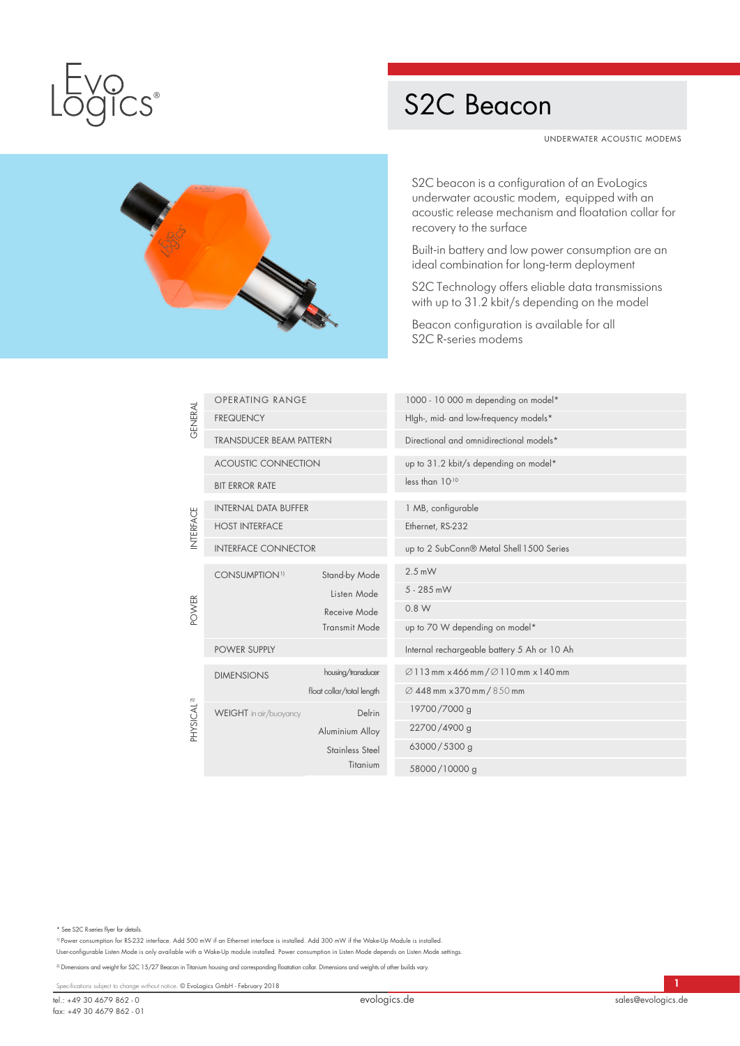

## S2C Beacon

UNDERWATER ACOUSTIC MODEMS



S2C beacon is a configuration of an EvoLogics underwater acoustic modem, equipped with an acoustic release mechanism and floatation collar for recovery to the surface

Built-in battery and low power consumption are an ideal combination for long-term deployment

S2C Technology offers eliable data transmissions with up to 31.2 kbit/s depending on the model

Beacon configuration is available for all S2C R-series modems

| <b>GENERAL</b>         | <b>OPERATING RANGE</b>           |                           | 1000 - 10 000 m depending on model*                           |
|------------------------|----------------------------------|---------------------------|---------------------------------------------------------------|
|                        | <b>FREQUENCY</b>                 |                           | High-, mid- and low-frequency models*                         |
|                        | <b>TRANSDUCER BEAM PATTERN</b>   |                           | Directional and omnidirectional models*                       |
|                        | <b>ACOUSTIC CONNECTION</b>       |                           | up to 31.2 kbit/s depending on model*                         |
|                        | <b>BIT ERROR RATE</b>            |                           | less than 10-10                                               |
| INTERFACE              | <b>INTERNAL DATA BUFFER</b>      |                           | 1 MB, configurable                                            |
|                        | <b>HOST INTERFACE</b>            |                           | Ethernet, RS-232                                              |
| POWER                  | <b>INTERFACE CONNECTOR</b>       |                           | up to 2 SubConn® Metal Shell 1500 Series                      |
|                        | <b>CONSUMPTION</b> <sup>1)</sup> | Stand-by Mode             | $2.5$ mW                                                      |
|                        |                                  | Listen Mode               | 5 - 285 mW                                                    |
|                        |                                  | Receive Mode              | 0.8 W                                                         |
|                        |                                  | <b>Transmit Mode</b>      | up to 70 W depending on model*                                |
|                        | <b>POWER SUPPLY</b>              |                           | Internal rechargeable battery 5 Ah or 10 Ah                   |
| PHYSICAL <sup>2)</sup> | <b>DIMENSIONS</b>                | housing/transducer        | $\varnothing$ 113 mm x 466 mm / $\varnothing$ 110 mm x 140 mm |
|                        |                                  | float collar/total length | Ø 448 mm x 370 mm / 850 mm                                    |
|                        | <b>WEIGHT</b> in air/buoyancy    | Delrin                    | 19700/7000 g                                                  |
|                        |                                  | Aluminium Alloy           | 22700/4900 g                                                  |
|                        |                                  | Stainless Steel           | 63000/5300 g                                                  |
|                        |                                  | Titanium                  | 58000/10000 g                                                 |

\* See S2C R-series flyer for details.

1) Power consumption for RS-232 interface. Add 500 mW if an Ethernet interface is installed. Add 300 mW if the Wake-Up Module is installed. User-configurable Listen Mode is only available with a Wake-Up module installed. Power consumption in Listen Mode depends on Listen Mode settings.

<sup>2)</sup> Dimensions and weight for S2C 15/27 Beacon in Titanium housing and corresponding floatation collar. Dimensions and weights of other builds vary.

Specifications subject to change without notice. © EvoLogics GmbH - February 2018